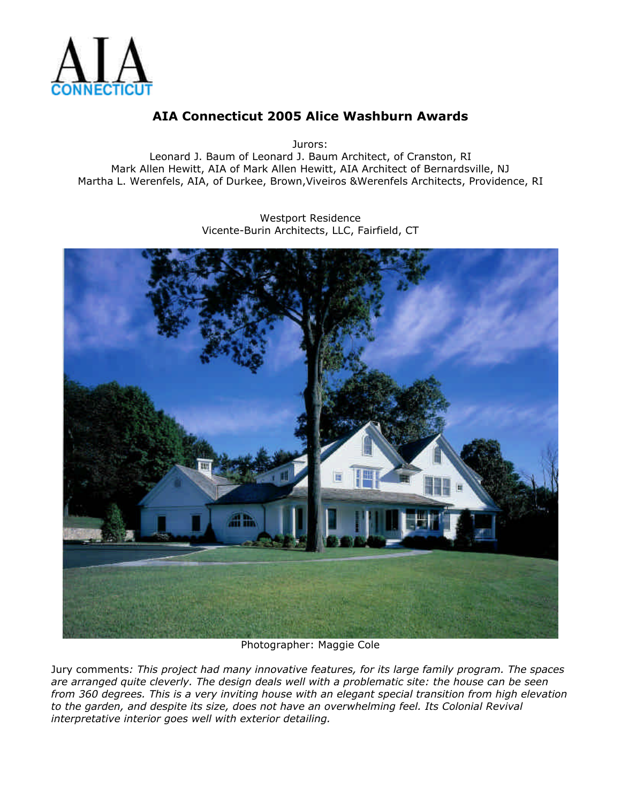

## **AIA Connecticut 2005 Alice Washburn Awards**

Jurors:

Leonard J. Baum of Leonard J. Baum Architect, of Cranston, RI Mark Allen Hewitt, AIA of Mark Allen Hewitt, AIA Architect of Bernardsville, NJ Martha L. Werenfels, AIA, of Durkee, Brown,Viveiros &Werenfels Architects, Providence, RI

> Westport Residence Vicente-Burin Architects, LLC, Fairfield, CT



Photographer: Maggie Cole

Jury comments*: This project had many innovative features, for its large family program. The spaces are arranged quite cleverly. The design deals well with a problematic site: the house can be seen from 360 degrees. This is a very inviting house with an elegant special transition from high elevation to the garden, and despite its size, does not have an overwhelming feel. Its Colonial Revival interpretative interior goes well with exterior detailing.*